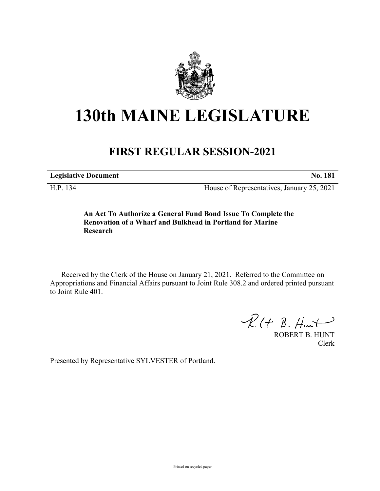

## **130th MAINE LEGISLATURE**

## **FIRST REGULAR SESSION-2021**

**Legislative Document No. 181**

H.P. 134 House of Representatives, January 25, 2021

**An Act To Authorize a General Fund Bond Issue To Complete the Renovation of a Wharf and Bulkhead in Portland for Marine Research**

Received by the Clerk of the House on January 21, 2021. Referred to the Committee on Appropriations and Financial Affairs pursuant to Joint Rule 308.2 and ordered printed pursuant to Joint Rule 401.

 $R(H B. H<sub>un</sub>)$ 

ROBERT B. HUNT Clerk

Presented by Representative SYLVESTER of Portland.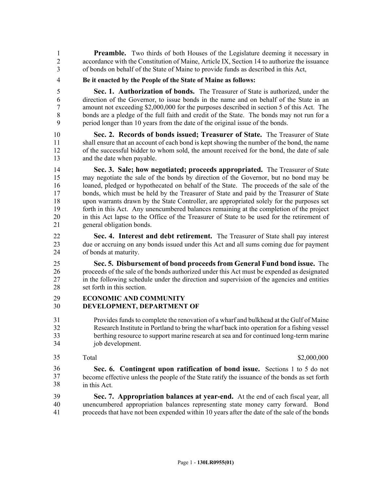**Preamble.** Two thirds of both Houses of the Legislature deeming it necessary in 2 accordance with the Constitution of Maine, Article IX, Section 14 to authorize the issuance 3 of bonds on behalf of the State of Maine to provide funds as described in this Act,

4 **Be it enacted by the People of the State of Maine as follows:**

5 **Sec. 1. Authorization of bonds.** The Treasurer of State is authorized, under the 6 direction of the Governor, to issue bonds in the name and on behalf of the State in an 7 amount not exceeding \$2,000,000 for the purposes described in section 5 of this Act. The 8 bonds are a pledge of the full faith and credit of the State. The bonds may not run for a 9 period longer than 10 years from the date of the original issue of the bonds.

10 **Sec. 2. Records of bonds issued; Treasurer of State.** The Treasurer of State 11 shall ensure that an account of each bond is kept showing the number of the bond, the name 12 of the successful bidder to whom sold, the amount received for the bond, the date of sale 13 and the date when payable.

14 **Sec. 3. Sale; how negotiated; proceeds appropriated.** The Treasurer of State 15 may negotiate the sale of the bonds by direction of the Governor, but no bond may be 16 loaned, pledged or hypothecated on behalf of the State. The proceeds of the sale of the 17 bonds, which must be held by the Treasurer of State and paid by the Treasurer of State 18 upon warrants drawn by the State Controller, are appropriated solely for the purposes set 19 forth in this Act. Any unencumbered balances remaining at the completion of the project 20 in this Act lapse to the Office of the Treasurer of State to be used for the retirement of 21 general obligation bonds.

22 **Sec. 4. Interest and debt retirement.** The Treasurer of State shall pay interest 23 due or accruing on any bonds issued under this Act and all sums coming due for payment 24 of bonds at maturity.

25 **Sec. 5. Disbursement of bond proceeds from General Fund bond issue.** The 26 proceeds of the sale of the bonds authorized under this Act must be expended as designated 27 in the following schedule under the direction and supervision of the agencies and entities 28 set forth in this section.

## 29 **ECONOMIC AND COMMUNITY** 30 **DEVELOPMENT, DEPARTMENT OF**

- 31 Provides funds to complete the renovation of a wharf and bulkhead at the Gulf of Maine 32 Research Institute in Portland to bring the wharf back into operation for a fishing vessel 33 berthing resource to support marine research at sea and for continued long-term marine 34 job development.
- 35

Total \$2,000,000 \$2,000,000 \$2,000,000 \$2,000,000 \$2,000,000 \$2,000,000 \$2,000 \$2,000 \$2,000 \$2,000 \$2,000 \$2,000 \$2,000 \$2,000 \$2,000 \$2,000 \$2,000 \$2,000 \$2,000 \$2,000 \$2,000 \$2,000 \$2,000 \$2,000 \$2,000 \$2,000 \$2,000 \$2,

35 **Sec. 6. Contingent upon ratification of bond issue.** Sections 1 to 5 do not become effective unless the people of the State ratify the issuance of the bonds as set forth in this Act. 36 37 38

39 **Sec. 7. Appropriation balances at year-end.** At the end of each fiscal year, all 40 unencumbered appropriation balances representing state money carry forward. Bond 41 proceeds that have not been expended within 10 years after the date of the sale of the bonds